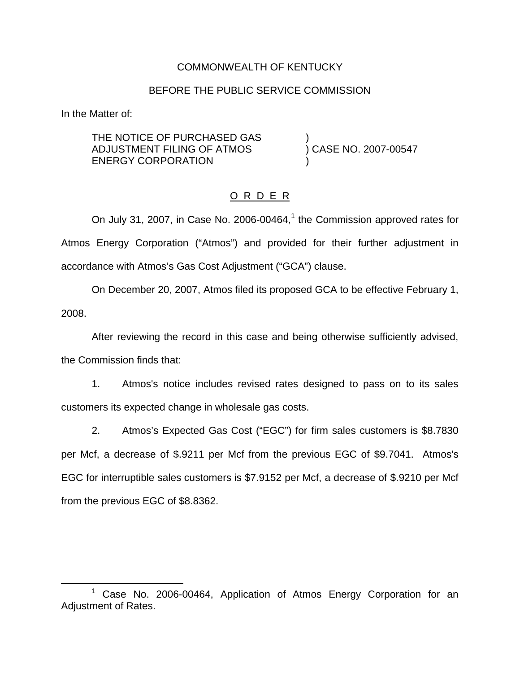### COMMONWEALTH OF KENTUCKY

#### BEFORE THE PUBLIC SERVICE COMMISSION

In the Matter of:

THE NOTICE OF PURCHASED GAS )<br>ADJUSTMENT FILING OF ATMOS ) CASE NO. 2007-00547 ADJUSTMENT FILING OF ATMOS ENERGY CORPORATION

### O R D E R

On July 31, 2007, in Case No. 2006-00464, $<sup>1</sup>$  the Commission approved rates for</sup> Atmos Energy Corporation ("Atmos") and provided for their further adjustment in accordance with Atmos's Gas Cost Adjustment ("GCA") clause.

On December 20, 2007, Atmos filed its proposed GCA to be effective February 1,

2008.

After reviewing the record in this case and being otherwise sufficiently advised, the Commission finds that:

1. Atmos's notice includes revised rates designed to pass on to its sales customers its expected change in wholesale gas costs.

2. Atmos's Expected Gas Cost ("EGC") for firm sales customers is \$8.7830 per Mcf, a decrease of \$.9211 per Mcf from the previous EGC of \$9.7041. Atmos's EGC for interruptible sales customers is \$7.9152 per Mcf, a decrease of \$.9210 per Mcf from the previous EGC of \$8.8362.

<sup>&</sup>lt;sup>1</sup> Case No. 2006-00464, Application of Atmos Energy Corporation for an Adjustment of Rates.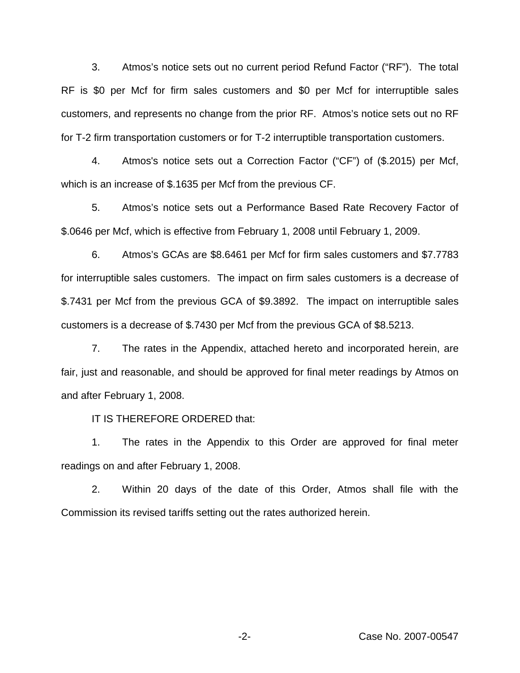3. Atmos's notice sets out no current period Refund Factor ("RF"). The total RF is \$0 per Mcf for firm sales customers and \$0 per Mcf for interruptible sales customers, and represents no change from the prior RF. Atmos's notice sets out no RF for T-2 firm transportation customers or for T-2 interruptible transportation customers.

4. Atmos's notice sets out a Correction Factor ("CF") of (\$.2015) per Mcf, which is an increase of \$.1635 per Mcf from the previous CF.

5. Atmos's notice sets out a Performance Based Rate Recovery Factor of \$.0646 per Mcf, which is effective from February 1, 2008 until February 1, 2009.

6. Atmos's GCAs are \$8.6461 per Mcf for firm sales customers and \$7.7783 for interruptible sales customers. The impact on firm sales customers is a decrease of \$.7431 per Mcf from the previous GCA of \$9.3892. The impact on interruptible sales customers is a decrease of \$.7430 per Mcf from the previous GCA of \$8.5213.

7. The rates in the Appendix, attached hereto and incorporated herein, are fair, just and reasonable, and should be approved for final meter readings by Atmos on and after February 1, 2008.

IT IS THEREFORE ORDERED that:

1. The rates in the Appendix to this Order are approved for final meter readings on and after February 1, 2008.

2. Within 20 days of the date of this Order, Atmos shall file with the Commission its revised tariffs setting out the rates authorized herein.

-2- Case No. 2007-00547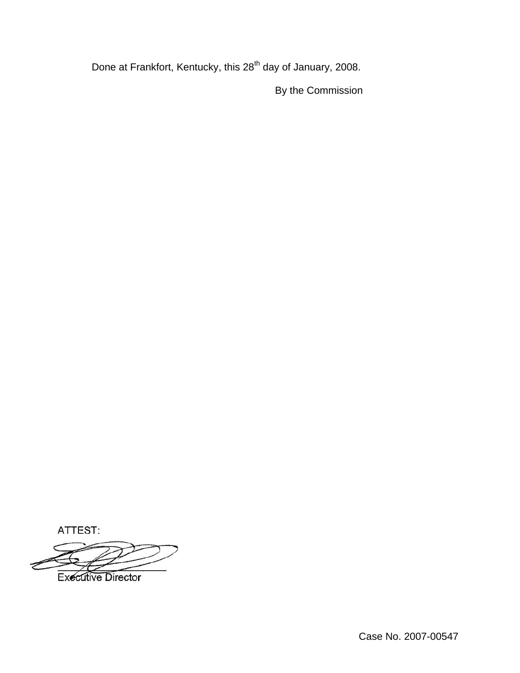Done at Frankfort, Kentucky, this 28<sup>th</sup> day of January, 2008.

By the Commission

ATTEST:

**Executive Director** 

Case No. 2007-00547